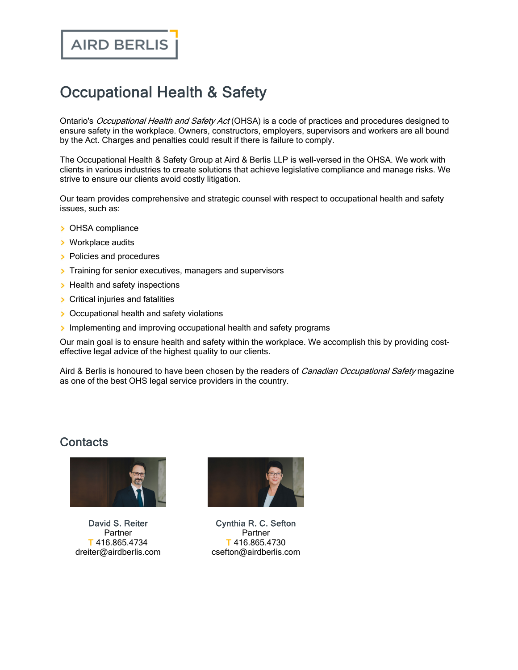## Occupational Health & Safety

Ontario's Occupational Health and Safety Act (OHSA) is a code of practices and procedures designed to ensure safety in the workplace. Owners, constructors, employers, supervisors and workers are all bound by the Act. Charges and penalties could result if there is failure to comply.

The Occupational Health & Safety Group at Aird & Berlis LLP is well-versed in the OHSA. We work with clients in various industries to create solutions that achieve legislative compliance and manage risks. We strive to ensure our clients avoid costly litigation.

Our team provides comprehensive and strategic counsel with respect to occupational health and safety issues, such as:

- > OHSA compliance
- > Workplace audits
- **Policies and procedures**
- $\triangleright$  Training for senior executives, managers and supervisors
- $\triangleright$  Health and safety inspections
- **>** Critical injuries and fatalities
- **>** Occupational health and safety violations
- $\rightarrow$  Implementing and improving occupational health and safety programs

Our main goal is to ensure health and safety within the workplace. We accomplish this by providing costeffective legal advice of the highest quality to our clients.

Aird & Berlis is honoured to have been chosen by the readers of Canadian Occupational Safety magazine as one of the best OHS legal service providers in the country.

## **Contacts**



David S. [Reiter](https://www.airdberlis.com/people/bio/david-s-reiter) Partner T 416.865.4734 dreiter@airdberlis.com



[Cynthia](https://www.airdberlis.com/people/bio/cynthia-r-c-sefton) R. C. Sefton **Partner** T 416.865.4730 csefton@airdberlis.com